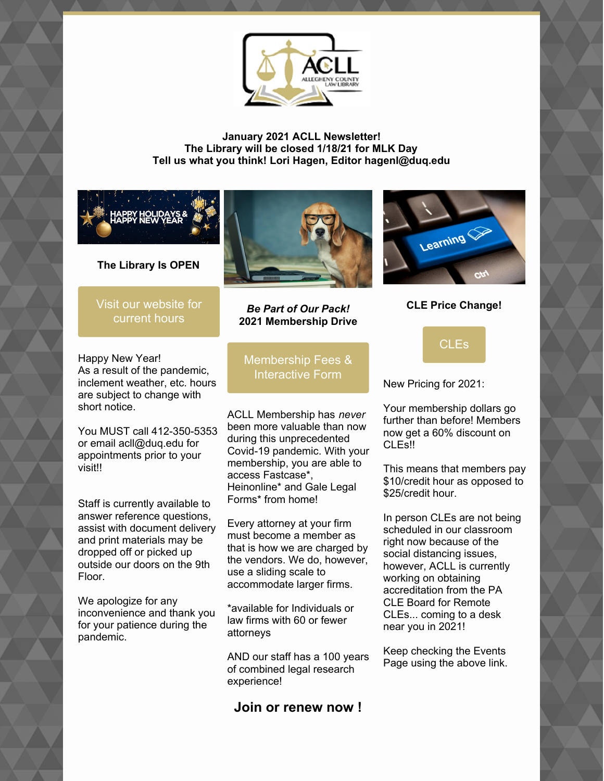

**January 2021 ACLL Newsletter! The Library will be closed 1/18/21 for MLK Day Tell us what you think! Lori Hagen, Editor hagenl@duq.edu**



**The Library Is OPEN**

Visit our [website](https://www.acllib.org/) for current hours



*Be Part of Our Pack!* **2021 Membership Drive**



**CLE Price Change!**

Happy New Year! As a result of the pandemic, inclement weather, etc. hours are subject to change with short notice.

You MUST call 412-350-5353 or email acll@duq.edu for appointments prior to your visit!!

Staff is currently available to answer reference questions, assist with document delivery and print materials may be dropped off or picked up outside our doors on the 9th Floor.

We apologize for any inconvenience and thank you for your patience during the pandemic.

[Membership](https://www.acllib.org/index.php/membership/) Fees & Interactive Form

ACLL Membership has *never* been more valuable than now during this unprecedented Covid-19 pandemic. With your membership, you are able to access Fastcase\*, Heinonline\* and Gale Legal Forms\* from home!

Every attorney at your firm must become a member as that is how we are charged by the vendors. We do, however, use a sliding scale to accommodate larger firms.

\*available for Individuals or law firms with 60 or fewer attorneys

AND our staff has a 100 years of combined legal research experience!

**Join or renew now !**

[CLEs](https://www.acllib.org/events/)

New Pricing for 2021:

Your membership dollars go further than before! Members now get a 60% discount on CLEs!!

This means that members pay \$10/credit hour as opposed to \$25/credit hour.

In person CLEs are not being scheduled in our classroom right now because of the social distancing issues, however, ACLL is currently working on obtaining accreditation from the PA CLE Board for Remote CLEs... coming to a desk near you in 2021!

Keep checking the Events Page using the above link.